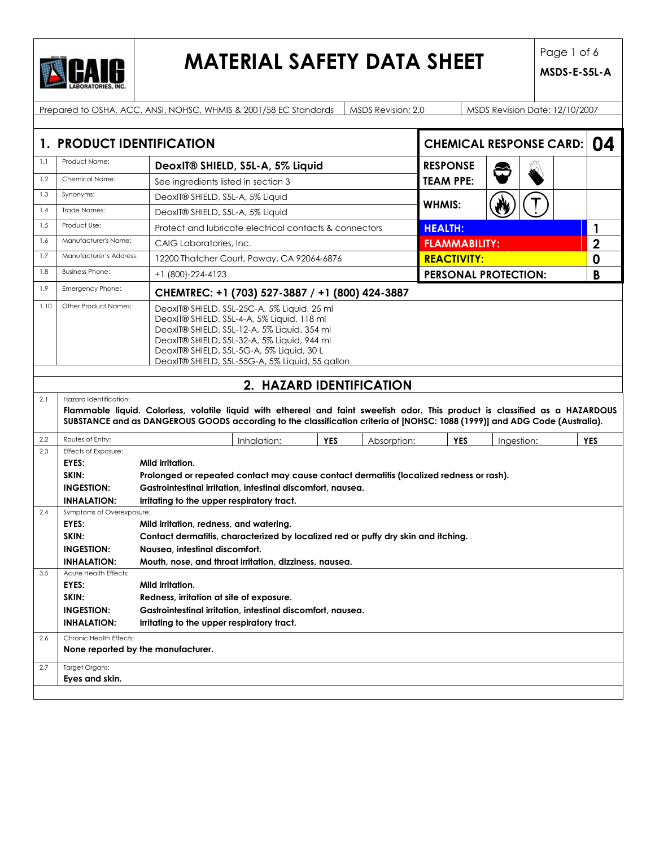

### **MATERIAL SAFETY DATA SHEET** Page 1 of 6

|      |                                                                                                                                                                                                                                                                                                                 | Prepared to OSHA, ACC, ANSI, NOHSC, WHMIS & 2001/58 EC Standards                                                                                                                                                                                             |            | MSDS Revision: 2.0 |                      | MSDS Revision Date: 12/10/2007 |  |                         |
|------|-----------------------------------------------------------------------------------------------------------------------------------------------------------------------------------------------------------------------------------------------------------------------------------------------------------------|--------------------------------------------------------------------------------------------------------------------------------------------------------------------------------------------------------------------------------------------------------------|------------|--------------------|----------------------|--------------------------------|--|-------------------------|
|      |                                                                                                                                                                                                                                                                                                                 |                                                                                                                                                                                                                                                              |            |                    |                      |                                |  |                         |
|      | 1. PRODUCT IDENTIFICATION                                                                                                                                                                                                                                                                                       |                                                                                                                                                                                                                                                              |            |                    |                      | <b>CHEMICAL RESPONSE CARD:</b> |  | 04                      |
| 1.1  | Product Name:                                                                                                                                                                                                                                                                                                   | <b>RESPONSE</b><br>DeoxIT® SHIELD, S5L-A, 5% Liquid                                                                                                                                                                                                          |            |                    |                      |                                |  |                         |
| 1.2  | Chemical Name:                                                                                                                                                                                                                                                                                                  | See ingredients listed in section 3                                                                                                                                                                                                                          |            |                    | <b>TEAM PPE:</b>     |                                |  |                         |
| 1.3  | Synonyms:                                                                                                                                                                                                                                                                                                       | DeoxIT® SHIELD, S5L-A, 5% Liquid                                                                                                                                                                                                                             |            |                    |                      |                                |  |                         |
| 1.4  | Trade Names:                                                                                                                                                                                                                                                                                                    | DeoxIT® SHIELD, S5L-A, 5% Liquid                                                                                                                                                                                                                             |            |                    | <b>WHMIS:</b>        |                                |  |                         |
| 1.5  | Product Use:                                                                                                                                                                                                                                                                                                    | Protect and lubricate electrical contacts & connectors                                                                                                                                                                                                       |            |                    | <b>HEALTH:</b>       |                                |  | 1                       |
| 1.6  | Manufacturer's Name:                                                                                                                                                                                                                                                                                            | CAIG Laboratories, Inc.                                                                                                                                                                                                                                      |            |                    | <b>FLAMMABILITY:</b> |                                |  | $\overline{\mathbf{2}}$ |
| 1.7  | Manufacturer's Address:                                                                                                                                                                                                                                                                                         | 12200 Thatcher Court, Poway, CA 92064-6876                                                                                                                                                                                                                   |            |                    | <b>REACTIVITY:</b>   |                                |  | 0                       |
| 1.8  | <b>Business Phone:</b>                                                                                                                                                                                                                                                                                          | +1 (800)-224-4123                                                                                                                                                                                                                                            |            |                    |                      | <b>PERSONAL PROTECTION:</b>    |  | B                       |
| 1.9  | Emergency Phone:                                                                                                                                                                                                                                                                                                | CHEMTREC: +1 (703) 527-3887 / +1 (800) 424-3887                                                                                                                                                                                                              |            |                    |                      |                                |  |                         |
| 1.10 | Other Product Names:<br>DeoxIT® SHIELD, S5L-25C-A, 5% Liquid, 25 ml<br>DeoxIT® SHIELD, S5L-4-A, 5% Liquid, 118 ml<br>DeoxIT® SHIELD, S5L-12-A, 5% Liquid, 354 ml<br>DeoxIT® SHIELD, S5L-32-A, 5% Liquid, 944 ml<br>DeoxIT® SHIELD, S5L-5G-A, 5% Liquid, 30 L<br>DeoxIT® SHIELD, S5L-55G-A, 5% Liquid, 55 gallon |                                                                                                                                                                                                                                                              |            |                    |                      |                                |  |                         |
|      |                                                                                                                                                                                                                                                                                                                 |                                                                                                                                                                                                                                                              |            |                    |                      |                                |  |                         |
|      |                                                                                                                                                                                                                                                                                                                 | 2. HAZARD IDENTIFICATION                                                                                                                                                                                                                                     |            |                    |                      |                                |  |                         |
| 2.1  | Hazard Identification:                                                                                                                                                                                                                                                                                          | Flammable liquid. Colorless, volatile liquid with ethereal and faint sweetish odor. This product is classified as a HAZARDOUS<br>SUBSTANCE and as DANGEROUS GOODS according to the classification criteria of [NOHSC: 1088 (1999)] and ADG Code (Australia). |            |                    |                      |                                |  |                         |
| 2.2  | Routes of Entry:                                                                                                                                                                                                                                                                                                | Inhalation:                                                                                                                                                                                                                                                  | <b>YES</b> | Absorption:        | <b>YES</b>           | Ingestion:                     |  | <b>YES</b>              |
| 2.3  | Effects of Exposure:<br>EYES:                                                                                                                                                                                                                                                                                   | Mild irritation.                                                                                                                                                                                                                                             |            |                    |                      |                                |  |                         |
|      | SKIN:                                                                                                                                                                                                                                                                                                           | Prolonged or repeated contact may cause contact dermatitis (localized redness or rash).                                                                                                                                                                      |            |                    |                      |                                |  |                         |
|      | <b>INGESTION:</b>                                                                                                                                                                                                                                                                                               | Gastrointestinal irritation, intestinal discomfort, nausea.                                                                                                                                                                                                  |            |                    |                      |                                |  |                         |
|      | <b>INHALATION:</b>                                                                                                                                                                                                                                                                                              | Irritating to the upper respiratory tract.                                                                                                                                                                                                                   |            |                    |                      |                                |  |                         |
| 2.4  | Symptoms of Overexposure:                                                                                                                                                                                                                                                                                       |                                                                                                                                                                                                                                                              |            |                    |                      |                                |  |                         |
|      | EYES:<br>Mild irritation, redness, and watering.                                                                                                                                                                                                                                                                |                                                                                                                                                                                                                                                              |            |                    |                      |                                |  |                         |
|      | SKIN:<br>Contact dermatitis, characterized by localized red or puffy dry skin and itching.                                                                                                                                                                                                                      |                                                                                                                                                                                                                                                              |            |                    |                      |                                |  |                         |
|      | <b>INGESTION:</b><br>Nausea, intestinal discomfort.                                                                                                                                                                                                                                                             |                                                                                                                                                                                                                                                              |            |                    |                      |                                |  |                         |
| 3.5  | <b>INHALATION:</b><br>Acute Health Effects:                                                                                                                                                                                                                                                                     | Mouth, nose, and throat irritation, dizziness, nausea.                                                                                                                                                                                                       |            |                    |                      |                                |  |                         |
|      | EYES:                                                                                                                                                                                                                                                                                                           | Mild irritation.                                                                                                                                                                                                                                             |            |                    |                      |                                |  |                         |
|      | SKIN:                                                                                                                                                                                                                                                                                                           | Redness, irritation at site of exposure.                                                                                                                                                                                                                     |            |                    |                      |                                |  |                         |
|      | <b>INGESTION:</b>                                                                                                                                                                                                                                                                                               | Gastrointestinal irritation, intestinal discomfort, nausea.                                                                                                                                                                                                  |            |                    |                      |                                |  |                         |
|      | <b>INHALATION:</b>                                                                                                                                                                                                                                                                                              | Irritating to the upper respiratory tract.                                                                                                                                                                                                                   |            |                    |                      |                                |  |                         |
| 2.6  | Chronic Health Effects:<br>None reported by the manufacturer.                                                                                                                                                                                                                                                   |                                                                                                                                                                                                                                                              |            |                    |                      |                                |  |                         |
|      |                                                                                                                                                                                                                                                                                                                 |                                                                                                                                                                                                                                                              |            |                    |                      |                                |  |                         |
| 2.7  | <b>Target Organs:</b>                                                                                                                                                                                                                                                                                           |                                                                                                                                                                                                                                                              |            |                    |                      |                                |  |                         |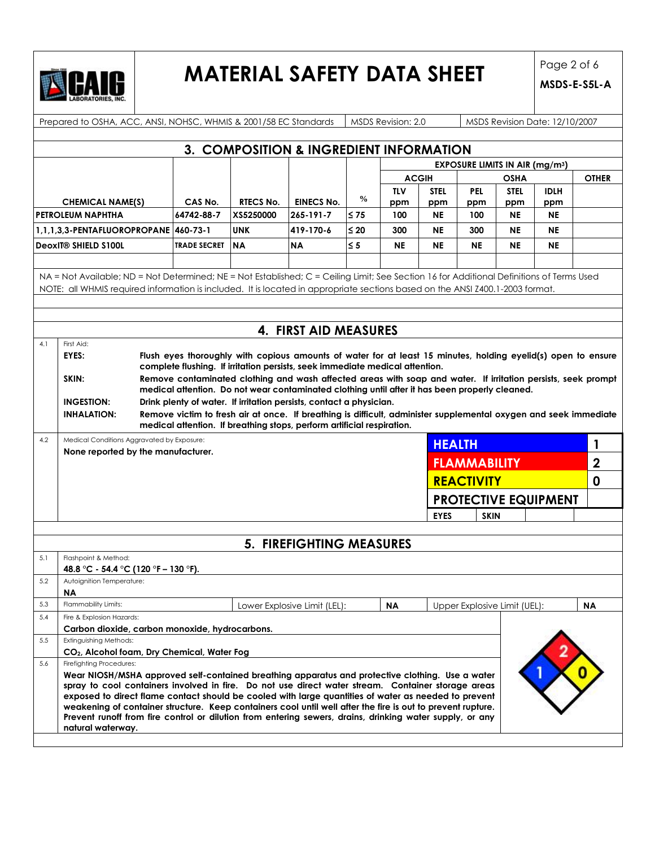

## **MATERIAL SAFETY DATA SHEET** Page 2 of 6

|     | Prepared to OSHA, ACC, ANSI, NOHSC, WHMIS & 2001/58 EC Standards<br>MSDS Revision: 2.0<br>MSDS Revision Date: 12/10/2007                                                                                                |                     |                  |                                                                                                                                                                                               |               |                   |                    |                     |                                                  |                    |                |
|-----|-------------------------------------------------------------------------------------------------------------------------------------------------------------------------------------------------------------------------|---------------------|------------------|-----------------------------------------------------------------------------------------------------------------------------------------------------------------------------------------------|---------------|-------------------|--------------------|---------------------|--------------------------------------------------|--------------------|----------------|
|     |                                                                                                                                                                                                                         |                     |                  |                                                                                                                                                                                               |               |                   |                    |                     |                                                  |                    |                |
|     |                                                                                                                                                                                                                         |                     |                  | 3. COMPOSITION & INGREDIENT INFORMATION                                                                                                                                                       |               |                   |                    |                     |                                                  |                    |                |
|     |                                                                                                                                                                                                                         |                     |                  |                                                                                                                                                                                               |               |                   |                    |                     | <b>EXPOSURE LIMITS IN AIR (mg/m<sup>3</sup>)</b> |                    |                |
|     |                                                                                                                                                                                                                         |                     |                  |                                                                                                                                                                                               |               |                   | <b>ACGIH</b>       |                     | OSHA                                             |                    | <b>OTHER</b>   |
|     | <b>CHEMICAL NAME(S)</b>                                                                                                                                                                                                 | CAS No.             | <b>RTECS No.</b> | <b>EINECS No.</b>                                                                                                                                                                             | $\frac{0}{0}$ | <b>TLV</b><br>ppm | <b>STEL</b><br>ppm | <b>PEL</b><br>ppm   | <b>STEL</b><br>ppm                               | <b>IDLH</b><br>ppm |                |
|     | <b>PETROLEUM NAPHTHA</b>                                                                                                                                                                                                | 64742-88-7          | XS5250000        | 265-191-7                                                                                                                                                                                     | ∣≤ 75         | 100               | <b>NE</b>          | 100                 | <b>NE</b>                                        | <b>NE</b>          |                |
|     | 1.1.1.3.3-PENTAFLUOROPROPANE 460-73-1                                                                                                                                                                                   |                     | <b>UNK</b>       | 419-170-6                                                                                                                                                                                     | $\leq 20$     | 300               | <b>NE</b>          | 300                 | <b>NE</b>                                        | <b>NE</b>          |                |
|     | <b>DeoxIT® SHIELD S100L</b>                                                                                                                                                                                             | <b>TRADE SECRET</b> | <b>NA</b>        | <b>NA</b>                                                                                                                                                                                     | $\leq 5$      | <b>NE</b>         | <b>NE</b>          | <b>NE</b>           | <b>NE</b>                                        | <b>NE</b>          |                |
|     |                                                                                                                                                                                                                         |                     |                  |                                                                                                                                                                                               |               |                   |                    |                     |                                                  |                    |                |
|     | NA = Not Available; ND = Not Determined; NE = Not Established; C = Ceiling Limit; See Section 16 for Additional Definitions of Terms Used                                                                               |                     |                  |                                                                                                                                                                                               |               |                   |                    |                     |                                                  |                    |                |
|     | NOTE: all WHMIS required information is included. It is located in appropriate sections based on the ANSI Z400.1-2003 format.                                                                                           |                     |                  |                                                                                                                                                                                               |               |                   |                    |                     |                                                  |                    |                |
|     |                                                                                                                                                                                                                         |                     |                  |                                                                                                                                                                                               |               |                   |                    |                     |                                                  |                    |                |
|     |                                                                                                                                                                                                                         |                     |                  |                                                                                                                                                                                               |               |                   |                    |                     |                                                  |                    |                |
|     |                                                                                                                                                                                                                         |                     |                  | 4. FIRST AID MEASURES                                                                                                                                                                         |               |                   |                    |                     |                                                  |                    |                |
| 4.1 | First Aid:                                                                                                                                                                                                              |                     |                  |                                                                                                                                                                                               |               |                   |                    |                     |                                                  |                    |                |
|     | EYES:                                                                                                                                                                                                                   |                     |                  | Flush eyes thoroughly with copious amounts of water for at least 15 minutes, holding eyelid(s) open to ensure<br>complete flushing. If irritation persists, seek immediate medical attention. |               |                   |                    |                     |                                                  |                    |                |
|     | SKIN:                                                                                                                                                                                                                   |                     |                  | Remove contaminated clothing and wash affected areas with soap and water. If irritation persists, seek prompt                                                                                 |               |                   |                    |                     |                                                  |                    |                |
|     |                                                                                                                                                                                                                         |                     |                  | medical attention. Do not wear contaminated clothing until after it has been properly cleaned.                                                                                                |               |                   |                    |                     |                                                  |                    |                |
|     | <b>INGESTION:</b>                                                                                                                                                                                                       |                     |                  | Drink plenty of water. If irritation persists, contact a physician.                                                                                                                           |               |                   |                    |                     |                                                  |                    |                |
|     | <b>INHALATION:</b>                                                                                                                                                                                                      |                     |                  | Remove victim to fresh air at once. If breathing is difficult, administer supplemental oxygen and seek immediate<br>medical attention. If breathing stops, perform artificial respiration.    |               |                   |                    |                     |                                                  |                    |                |
| 4.2 | Medical Conditions Aggravated by Exposure:                                                                                                                                                                              |                     |                  |                                                                                                                                                                                               |               |                   | <b>HEALTH</b>      |                     |                                                  |                    | 1              |
|     | None reported by the manufacturer.                                                                                                                                                                                      |                     |                  |                                                                                                                                                                                               |               |                   |                    |                     |                                                  |                    |                |
|     |                                                                                                                                                                                                                         |                     |                  |                                                                                                                                                                                               |               |                   |                    | <b>FLAMMABILITY</b> |                                                  |                    | $\overline{2}$ |
|     |                                                                                                                                                                                                                         |                     |                  |                                                                                                                                                                                               |               |                   |                    | <b>REACTIVITY</b>   |                                                  |                    | 0              |
|     |                                                                                                                                                                                                                         |                     |                  |                                                                                                                                                                                               |               |                   |                    |                     | <b>PROTECTIVE EQUIPMENT</b>                      |                    |                |
|     |                                                                                                                                                                                                                         |                     |                  |                                                                                                                                                                                               |               |                   | <b>EYES</b>        | <b>SKIN</b>         |                                                  |                    |                |
|     |                                                                                                                                                                                                                         |                     |                  |                                                                                                                                                                                               |               |                   |                    |                     |                                                  |                    |                |
|     |                                                                                                                                                                                                                         |                     |                  | 5. FIREFIGHTING MEASURES                                                                                                                                                                      |               |                   |                    |                     |                                                  |                    |                |
| 5.1 | Flashpoint & Method:                                                                                                                                                                                                    |                     |                  |                                                                                                                                                                                               |               |                   |                    |                     |                                                  |                    |                |
|     | 48.8 °C - 54.4 °C (120 °F - 130 °F).                                                                                                                                                                                    |                     |                  |                                                                                                                                                                                               |               |                   |                    |                     |                                                  |                    |                |
| 5.2 | Autoignition Temperature:                                                                                                                                                                                               |                     |                  |                                                                                                                                                                                               |               |                   |                    |                     |                                                  |                    |                |
| 5.3 | ΝA<br>Flammability Limits:                                                                                                                                                                                              |                     |                  | Lower Explosive Limit (LEL):                                                                                                                                                                  |               | <b>NA</b>         |                    |                     | Upper Explosive Limit (UEL):                     |                    | <b>NA</b>      |
| 5.4 | Fire & Explosion Hazards:                                                                                                                                                                                               |                     |                  |                                                                                                                                                                                               |               |                   |                    |                     |                                                  |                    |                |
|     | Carbon dioxide, carbon monoxide, hydrocarbons.                                                                                                                                                                          |                     |                  |                                                                                                                                                                                               |               |                   |                    |                     |                                                  |                    |                |
| 5.5 | Extinguishing Methods:                                                                                                                                                                                                  |                     |                  |                                                                                                                                                                                               |               |                   |                    |                     |                                                  |                    |                |
|     | CO <sub>2</sub> , Alcohol foam, Dry Chemical, Water Fog                                                                                                                                                                 |                     |                  |                                                                                                                                                                                               |               |                   |                    |                     |                                                  |                    |                |
| 5.6 | Firefiahtina Procedures:<br>Wear NIOSH/MSHA approved self-contained breathing apparatus and protective clothing. Use a water                                                                                            |                     |                  |                                                                                                                                                                                               |               |                   |                    |                     |                                                  |                    |                |
|     | spray to cool containers involved in fire. Do not use direct water stream. Container storage areas                                                                                                                      |                     |                  |                                                                                                                                                                                               |               |                   |                    |                     |                                                  |                    |                |
|     | exposed to direct flame contact should be cooled with large quantities of water as needed to prevent                                                                                                                    |                     |                  |                                                                                                                                                                                               |               |                   |                    |                     |                                                  |                    |                |
|     | weakening of container structure. Keep containers cool until well after the fire is out to prevent rupture.<br>Prevent runoff from fire control or dilution from entering sewers, drains, drinking water supply, or any |                     |                  |                                                                                                                                                                                               |               |                   |                    |                     |                                                  |                    |                |
|     | natural waterway.                                                                                                                                                                                                       |                     |                  |                                                                                                                                                                                               |               |                   |                    |                     |                                                  |                    |                |
|     |                                                                                                                                                                                                                         |                     |                  |                                                                                                                                                                                               |               |                   |                    |                     |                                                  |                    |                |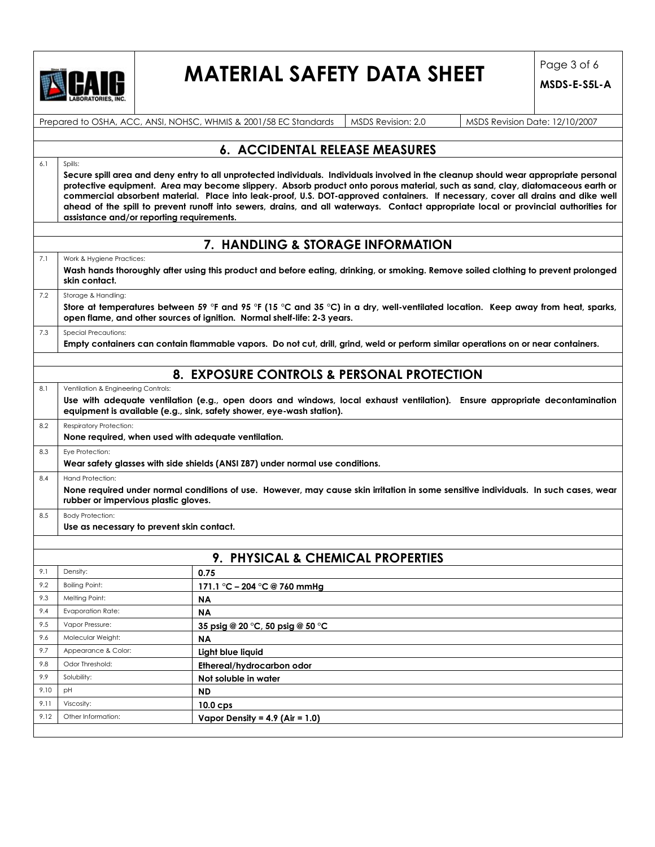

## **MATERIAL SAFETY DATA SHEET** Page 3 of 6

|                                                       |                                                          | Prepared to OSHA, ACC, ANSI, NOHSC, WHMIS & 2001/58 EC Standards<br>MSDS Revision: 2.0<br>MSDS Revision Date: 12/10/2007                                                                                                                                                                                                                                                                                                                                                                                                                            |
|-------------------------------------------------------|----------------------------------------------------------|-----------------------------------------------------------------------------------------------------------------------------------------------------------------------------------------------------------------------------------------------------------------------------------------------------------------------------------------------------------------------------------------------------------------------------------------------------------------------------------------------------------------------------------------------------|
|                                                       |                                                          | <b>6. ACCIDENTAL RELEASE MEASURES</b>                                                                                                                                                                                                                                                                                                                                                                                                                                                                                                               |
| 6.1                                                   | Spills:                                                  |                                                                                                                                                                                                                                                                                                                                                                                                                                                                                                                                                     |
|                                                       | assistance and/or reporting requirements.                | Secure spill area and deny entry to all unprotected individuals. Individuals involved in the cleanup should wear appropriate personal<br>protective equipment. Area may become slippery. Absorb product onto porous material, such as sand, clay, diatomaceous earth or<br>commercial absorbent material. Place into leak-proof, U.S. DOT-approved containers. If necessary, cover all drains and dike well<br>ahead of the spill to prevent runoff into sewers, drains, and all waterways. Contact appropriate local or provincial authorities for |
|                                                       |                                                          | 7. HANDLING & STORAGE INFORMATION                                                                                                                                                                                                                                                                                                                                                                                                                                                                                                                   |
| 7.1                                                   | Work & Hygiene Practices:                                |                                                                                                                                                                                                                                                                                                                                                                                                                                                                                                                                                     |
|                                                       | skin contact.                                            | Wash hands thoroughly after using this product and before eating, drinking, or smoking. Remove soiled clothing to prevent prolonged                                                                                                                                                                                                                                                                                                                                                                                                                 |
| 7.2                                                   | Storage & Handling:                                      | Store at temperatures between 59 °F and 95 °F (15 °C and 35 °C) in a dry, well-ventilated location. Keep away from heat, sparks,<br>open flame, and other sources of ignition. Normal shelf-life: 2-3 years.                                                                                                                                                                                                                                                                                                                                        |
| 7.3                                                   | Special Precautions:                                     | Empty containers can contain flammable vapors. Do not cut, drill, grind, weld or perform similar operations on or near containers.                                                                                                                                                                                                                                                                                                                                                                                                                  |
|                                                       |                                                          | 8. EXPOSURE CONTROLS & PERSONAL PROTECTION                                                                                                                                                                                                                                                                                                                                                                                                                                                                                                          |
| 8.1                                                   | Ventilation & Engineering Controls:                      |                                                                                                                                                                                                                                                                                                                                                                                                                                                                                                                                                     |
|                                                       |                                                          | Use with adequate ventilation (e.g., open doors and windows, local exhaust ventilation). Ensure appropriate decontamination<br>equipment is available (e.g., sink, safety shower, eye-wash station).                                                                                                                                                                                                                                                                                                                                                |
| 8.2                                                   | <b>Respiratory Protection:</b>                           | None required, when used with adequate ventilation.                                                                                                                                                                                                                                                                                                                                                                                                                                                                                                 |
|                                                       | Eye Protection:                                          | Wear safety glasses with side shields (ANSI Z87) under normal use conditions.                                                                                                                                                                                                                                                                                                                                                                                                                                                                       |
|                                                       |                                                          |                                                                                                                                                                                                                                                                                                                                                                                                                                                                                                                                                     |
|                                                       | Hand Protection:<br>rubber or impervious plastic gloves. | None required under normal conditions of use. However, may cause skin irritation in some sensitive individuals. In such cases, wear                                                                                                                                                                                                                                                                                                                                                                                                                 |
|                                                       | <b>Body Protection:</b>                                  |                                                                                                                                                                                                                                                                                                                                                                                                                                                                                                                                                     |
|                                                       | Use as necessary to prevent skin contact.                |                                                                                                                                                                                                                                                                                                                                                                                                                                                                                                                                                     |
|                                                       |                                                          |                                                                                                                                                                                                                                                                                                                                                                                                                                                                                                                                                     |
|                                                       | Density:                                                 | 9. PHYSICAL & CHEMICAL PROPERTIES<br>0.75                                                                                                                                                                                                                                                                                                                                                                                                                                                                                                           |
|                                                       | <b>Boiling Point:</b>                                    |                                                                                                                                                                                                                                                                                                                                                                                                                                                                                                                                                     |
|                                                       | Melting Point:                                           | 171.1 °C - 204 °C @ 760 mmHg<br>ΝA                                                                                                                                                                                                                                                                                                                                                                                                                                                                                                                  |
|                                                       | <b>Evaporation Rate:</b>                                 | <b>NA</b>                                                                                                                                                                                                                                                                                                                                                                                                                                                                                                                                           |
|                                                       | Vapor Pressure:                                          | 35 psig @ 20 °C, 50 psig @ 50 °C                                                                                                                                                                                                                                                                                                                                                                                                                                                                                                                    |
|                                                       | Molecular Weight:                                        | <b>NA</b>                                                                                                                                                                                                                                                                                                                                                                                                                                                                                                                                           |
|                                                       | Appearance & Color:                                      | Light blue liquid                                                                                                                                                                                                                                                                                                                                                                                                                                                                                                                                   |
|                                                       | Odor Threshold:                                          | Ethereal/hydrocarbon odor                                                                                                                                                                                                                                                                                                                                                                                                                                                                                                                           |
| 8.3<br>8.4<br>8.5<br>9.1<br>9.2                       | Solubility:                                              | Not soluble in water                                                                                                                                                                                                                                                                                                                                                                                                                                                                                                                                |
| 9.3<br>9.4<br>9.5<br>9.6<br>9.7<br>9.8<br>9.9<br>9.10 | pH                                                       | ND                                                                                                                                                                                                                                                                                                                                                                                                                                                                                                                                                  |
| 9.11                                                  | Viscosity:                                               | 10.0 <sub>cps</sub>                                                                                                                                                                                                                                                                                                                                                                                                                                                                                                                                 |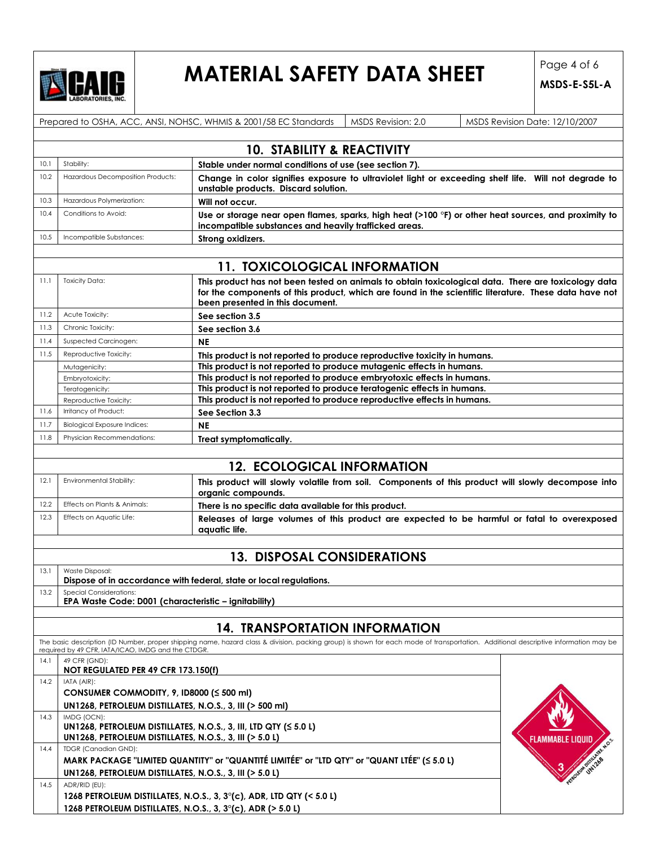

# **MATERIAL SAFETY DATA SHEET** Page 4 of 6

|      |                                                                                                                                                                                                                              | Prepared to OSHA, ACC, ANSI, NOHSC, WHMIS & 2001/58 EC Standards<br>MSDS Revision: 2.0<br>MSDS Revision Date: 12/10/2007                                      |  |  |  |  |  |
|------|------------------------------------------------------------------------------------------------------------------------------------------------------------------------------------------------------------------------------|---------------------------------------------------------------------------------------------------------------------------------------------------------------|--|--|--|--|--|
|      |                                                                                                                                                                                                                              |                                                                                                                                                               |  |  |  |  |  |
|      |                                                                                                                                                                                                                              | <b>10. STABILITY &amp; REACTIVITY</b>                                                                                                                         |  |  |  |  |  |
| 10.1 | Stability:                                                                                                                                                                                                                   | Stable under normal conditions of use (see section 7).                                                                                                        |  |  |  |  |  |
| 10.2 | Hazardous Decomposition Products:                                                                                                                                                                                            | Change in color signifies exposure to ultraviolet light or exceeding shelf life. Will not degrade to<br>unstable products. Discard solution.                  |  |  |  |  |  |
| 10.3 | Hazardous Polymerization:                                                                                                                                                                                                    | Will not occur.                                                                                                                                               |  |  |  |  |  |
| 10.4 | Conditions to Avoid:                                                                                                                                                                                                         | Use or storage near open flames, sparks, high heat (>100 °F) or other heat sources, and proximity to<br>incompatible substances and heavily trafficked areas. |  |  |  |  |  |
| 10.5 | Incompatible Substances:                                                                                                                                                                                                     | Strong oxidizers.                                                                                                                                             |  |  |  |  |  |
|      |                                                                                                                                                                                                                              | <b>11. TOXICOLOGICAL INFORMATION</b>                                                                                                                          |  |  |  |  |  |
| 11.1 | <b>Toxicity Data:</b>                                                                                                                                                                                                        | This product has not been tested on animals to obtain toxicological data. There are toxicology data                                                           |  |  |  |  |  |
|      |                                                                                                                                                                                                                              | for the components of this product, which are found in the scientific literature. These data have not<br>been presented in this document.                     |  |  |  |  |  |
| 11.2 | Acute Toxicity:                                                                                                                                                                                                              | See section 3.5                                                                                                                                               |  |  |  |  |  |
| 11.3 | Chronic Toxicity:                                                                                                                                                                                                            | See section 3.6                                                                                                                                               |  |  |  |  |  |
| 11.4 | Suspected Carcinogen:                                                                                                                                                                                                        | <b>NE</b>                                                                                                                                                     |  |  |  |  |  |
| 11.5 | Reproductive Toxicity:                                                                                                                                                                                                       | This product is not reported to produce reproductive toxicity in humans.                                                                                      |  |  |  |  |  |
|      | Mutagenicity:                                                                                                                                                                                                                | This product is not reported to produce mutagenic effects in humans.                                                                                          |  |  |  |  |  |
|      | Embryotoxicity:                                                                                                                                                                                                              | This product is not reported to produce embryotoxic effects in humans.                                                                                        |  |  |  |  |  |
|      | Teratogenicity:                                                                                                                                                                                                              | This product is not reported to produce teratogenic effects in humans.                                                                                        |  |  |  |  |  |
|      | Reproductive Toxicity:                                                                                                                                                                                                       | This product is not reported to produce reproductive effects in humans.                                                                                       |  |  |  |  |  |
| 11.6 | Irritancy of Product:                                                                                                                                                                                                        | See Section 3.3                                                                                                                                               |  |  |  |  |  |
| 11.7 | <b>Biological Exposure Indices:</b>                                                                                                                                                                                          | <b>NE</b>                                                                                                                                                     |  |  |  |  |  |
| 11.8 | Physician Recommendations:                                                                                                                                                                                                   | Treat symptomatically.                                                                                                                                        |  |  |  |  |  |
|      |                                                                                                                                                                                                                              |                                                                                                                                                               |  |  |  |  |  |
|      |                                                                                                                                                                                                                              | <b>12. ECOLOGICAL INFORMATION</b>                                                                                                                             |  |  |  |  |  |
| 12.1 | Environmental Stability:                                                                                                                                                                                                     | This product will slowly volatile from soil. Components of this product will slowly decompose into<br>organic compounds.                                      |  |  |  |  |  |
| 12.2 | Effects on Plants & Animals:                                                                                                                                                                                                 | There is no specific data available for this product.                                                                                                         |  |  |  |  |  |
| 12.3 | Effects on Aquatic Life:<br>Releases of large volumes of this product are expected to be harmful or fatal to overexposed<br>aquatic life.                                                                                    |                                                                                                                                                               |  |  |  |  |  |
|      |                                                                                                                                                                                                                              |                                                                                                                                                               |  |  |  |  |  |
|      |                                                                                                                                                                                                                              | <b>13. DISPOSAL CONSIDERATIONS</b>                                                                                                                            |  |  |  |  |  |
| 13.1 | Waste Disposal:                                                                                                                                                                                                              |                                                                                                                                                               |  |  |  |  |  |
|      | Dispose of in accordance with federal, state or local regulations.                                                                                                                                                           |                                                                                                                                                               |  |  |  |  |  |
| 13.2 | <b>Special Considerations:</b><br>EPA Waste Code: D001 (characteristic - ignitability)                                                                                                                                       |                                                                                                                                                               |  |  |  |  |  |
|      |                                                                                                                                                                                                                              |                                                                                                                                                               |  |  |  |  |  |
|      | <b>14. TRANSPORTATION INFORMATION</b><br>The basic description (ID Number, proper shipping name, hazard class & division, packing group) is shown for each mode of transportation. Additional descriptive information may be |                                                                                                                                                               |  |  |  |  |  |
|      | required by 49 CFR, IATA/ICAO, IMDG and the CTDGR.                                                                                                                                                                           |                                                                                                                                                               |  |  |  |  |  |
| 14.1 | 49 CFR (GND):<br>NOT REGULATED PER 49 CFR 173.150(f)                                                                                                                                                                         |                                                                                                                                                               |  |  |  |  |  |
|      | 14.2<br>IATA (AIR):                                                                                                                                                                                                          |                                                                                                                                                               |  |  |  |  |  |
|      | CONSUMER COMMODITY, 9, ID8000 (≤ 500 ml)                                                                                                                                                                                     |                                                                                                                                                               |  |  |  |  |  |
| 14.3 | UN1268, PETROLEUM DISTILLATES, N.O.S., 3, III (> 500 ml)<br>IMDG (OCN):                                                                                                                                                      |                                                                                                                                                               |  |  |  |  |  |
|      |                                                                                                                                                                                                                              | UN1268, PETROLEUM DISTILLATES, N.O.S., 3, III, LTD QTY ( $\leq$ 5.0 L)                                                                                        |  |  |  |  |  |
|      | UN1268, PETROLEUM DISTILLATES, N.O.S., 3, III (> 5.0 L)                                                                                                                                                                      | Flammable Liqui                                                                                                                                               |  |  |  |  |  |
| 14.4 | <b>TDGR (Canadian GND):</b>                                                                                                                                                                                                  |                                                                                                                                                               |  |  |  |  |  |
|      |                                                                                                                                                                                                                              | MARK PACKAGE "LIMITED QUANTITY" or "QUANTITÉ LIMITÉE" or "LTD QTY" or "QUANT LTÉE" (< 5.0 L)                                                                  |  |  |  |  |  |
|      | UN1268, PETROLEUM DISTILLATES, N.O.S., 3, III (> 5.0 L)                                                                                                                                                                      |                                                                                                                                                               |  |  |  |  |  |
| 14.5 | ADR/RID (EU):                                                                                                                                                                                                                |                                                                                                                                                               |  |  |  |  |  |
|      |                                                                                                                                                                                                                              |                                                                                                                                                               |  |  |  |  |  |
|      | 1268 PETROLEUM DISTILLATES, N.O.S., 3, 3°(c), ADR, LTD QTY (< 5.0 L)<br>1268 PETROLEUM DISTILLATES, N.O.S., 3, $3^{\circ}$ (c), ADR (> 5.0 L)                                                                                |                                                                                                                                                               |  |  |  |  |  |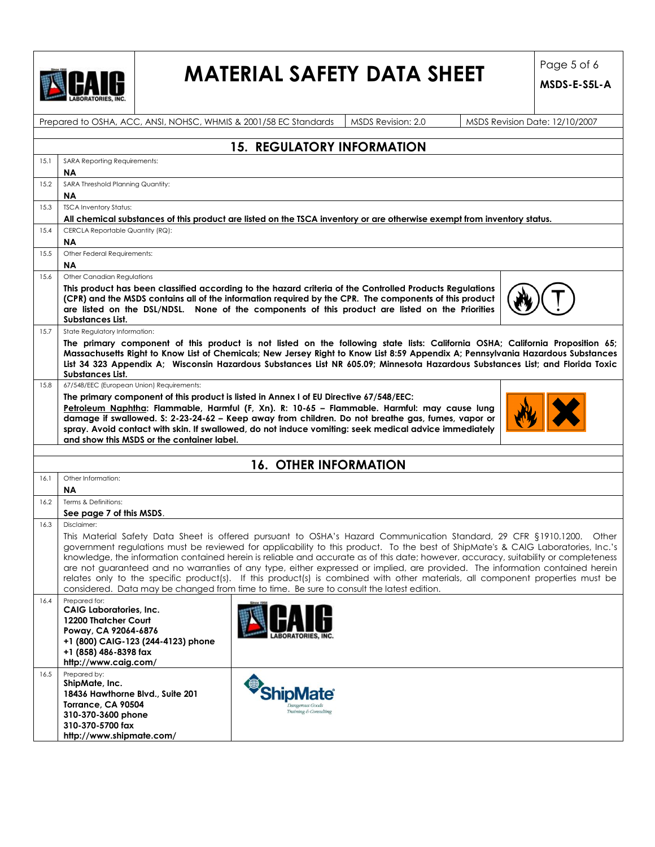

### **MATERIAL SAFETY DATA SHEET** Page 5 of 6

|      | Prepared to OSHA, ACC, ANSI, NOHSC, WHMIS & 2001/58 EC Standards                                                                                                                                                                                                                                                                                                                                                                                                                                                                                                                                                                                                                                                                                                  |                                                            | MSDS Revision: 2.0 | MSDS Revision Date: 12/10/2007 |  |  |
|------|-------------------------------------------------------------------------------------------------------------------------------------------------------------------------------------------------------------------------------------------------------------------------------------------------------------------------------------------------------------------------------------------------------------------------------------------------------------------------------------------------------------------------------------------------------------------------------------------------------------------------------------------------------------------------------------------------------------------------------------------------------------------|------------------------------------------------------------|--------------------|--------------------------------|--|--|
|      |                                                                                                                                                                                                                                                                                                                                                                                                                                                                                                                                                                                                                                                                                                                                                                   | <b>15. REGULATORY INFORMATION</b>                          |                    |                                |  |  |
|      |                                                                                                                                                                                                                                                                                                                                                                                                                                                                                                                                                                                                                                                                                                                                                                   |                                                            |                    |                                |  |  |
| 15.1 | SARA Reporting Requirements:<br>ΝA                                                                                                                                                                                                                                                                                                                                                                                                                                                                                                                                                                                                                                                                                                                                |                                                            |                    |                                |  |  |
| 15.2 | SARA Threshold Planning Quantity:                                                                                                                                                                                                                                                                                                                                                                                                                                                                                                                                                                                                                                                                                                                                 |                                                            |                    |                                |  |  |
|      | ΝA                                                                                                                                                                                                                                                                                                                                                                                                                                                                                                                                                                                                                                                                                                                                                                |                                                            |                    |                                |  |  |
| 15.3 | <b>TSCA Inventory Status:</b>                                                                                                                                                                                                                                                                                                                                                                                                                                                                                                                                                                                                                                                                                                                                     |                                                            |                    |                                |  |  |
|      | All chemical substances of this product are listed on the TSCA inventory or are otherwise exempt from inventory status.                                                                                                                                                                                                                                                                                                                                                                                                                                                                                                                                                                                                                                           |                                                            |                    |                                |  |  |
| 15.4 | CERCLA Reportable Quantity (RQ):                                                                                                                                                                                                                                                                                                                                                                                                                                                                                                                                                                                                                                                                                                                                  |                                                            |                    |                                |  |  |
|      | ΝA                                                                                                                                                                                                                                                                                                                                                                                                                                                                                                                                                                                                                                                                                                                                                                |                                                            |                    |                                |  |  |
| 15.5 | Other Federal Requirements:                                                                                                                                                                                                                                                                                                                                                                                                                                                                                                                                                                                                                                                                                                                                       |                                                            |                    |                                |  |  |
|      | ΝA                                                                                                                                                                                                                                                                                                                                                                                                                                                                                                                                                                                                                                                                                                                                                                |                                                            |                    |                                |  |  |
| 15.6 | Other Canadian Regulations                                                                                                                                                                                                                                                                                                                                                                                                                                                                                                                                                                                                                                                                                                                                        |                                                            |                    |                                |  |  |
|      | This product has been classified according to the hazard criteria of the Controlled Products Regulations<br>(CPR) and the MSDS contains all of the information required by the CPR. The components of this product<br>are listed on the DSL/NDSL. None of the components of this product are listed on the Priorities<br>Substances List.                                                                                                                                                                                                                                                                                                                                                                                                                         |                                                            |                    |                                |  |  |
| 15.7 | State Regulatory Information:                                                                                                                                                                                                                                                                                                                                                                                                                                                                                                                                                                                                                                                                                                                                     |                                                            |                    |                                |  |  |
|      | The primary component of this product is not listed on the following state lists: California OSHA; California Proposition 65;<br>Massachusetts Right to Know List of Chemicals; New Jersey Right to Know List 8:59 Appendix A; Pennsylvania Hazardous Substances<br>List 34 323 Appendix A; Wisconsin Hazardous Substances List NR 605.09; Minnesota Hazardous Substances List; and Florida Toxic<br>Substances List.                                                                                                                                                                                                                                                                                                                                             |                                                            |                    |                                |  |  |
| 15.8 | 67/548/EEC (European Union) Requirements:                                                                                                                                                                                                                                                                                                                                                                                                                                                                                                                                                                                                                                                                                                                         |                                                            |                    |                                |  |  |
|      | The primary component of this product is listed in Annex I of EU Directive 67/548/EEC:                                                                                                                                                                                                                                                                                                                                                                                                                                                                                                                                                                                                                                                                            |                                                            |                    |                                |  |  |
|      | Petroleum Naphtha: Flammable, Harmful (F, Xn). R: 10-65 - Flammable. Harmful: may cause lung<br>damage if swallowed. S: 2-23-24-62 - Keep away from children. Do not breathe gas, fumes, vapor or<br>spray. Avoid contact with skin. If swallowed, do not induce vomiting: seek medical advice immediately<br>and show this MSDS or the container label.                                                                                                                                                                                                                                                                                                                                                                                                          |                                                            |                    |                                |  |  |
|      |                                                                                                                                                                                                                                                                                                                                                                                                                                                                                                                                                                                                                                                                                                                                                                   |                                                            |                    |                                |  |  |
|      |                                                                                                                                                                                                                                                                                                                                                                                                                                                                                                                                                                                                                                                                                                                                                                   | <b>16. OTHER INFORMATION</b>                               |                    |                                |  |  |
| 16.1 | Other Information:<br>ΝA                                                                                                                                                                                                                                                                                                                                                                                                                                                                                                                                                                                                                                                                                                                                          |                                                            |                    |                                |  |  |
| 16.2 | Terms & Definitions:                                                                                                                                                                                                                                                                                                                                                                                                                                                                                                                                                                                                                                                                                                                                              |                                                            |                    |                                |  |  |
|      | See page 7 of this MSDS.                                                                                                                                                                                                                                                                                                                                                                                                                                                                                                                                                                                                                                                                                                                                          |                                                            |                    |                                |  |  |
| 16.3 | Disclaimer:                                                                                                                                                                                                                                                                                                                                                                                                                                                                                                                                                                                                                                                                                                                                                       |                                                            |                    |                                |  |  |
|      | This Material Safety Data Sheet is offered pursuant to OSHA's Hazard Communication Standard, 29 CFR §1910.1200. Other<br>government regulations must be reviewed for applicability to this product. To the best of ShipMate's & CAIG Laboratories, Inc.'s<br>knowledge, the information contained herein is reliable and accurate as of this date; however, accuracy, suitability or completeness<br>are not guaranteed and no warranties of any type, either expressed or implied, are provided. The information contained herein<br>relates only to the specific product(s). If this product(s) is combined with other materials, all component properties must be<br>considered. Data may be changed from time to time. Be sure to consult the latest edition. |                                                            |                    |                                |  |  |
| 16.4 | Prepared for:<br><b>CAIG Laboratories, Inc.</b><br>12200 Thatcher Court<br>Poway, CA 92064-6876<br>+1 (800) CAIG-123 (244-4123) phone<br>+1 (858) 486-8398 fax<br>http://www.caig.com/                                                                                                                                                                                                                                                                                                                                                                                                                                                                                                                                                                            |                                                            |                    |                                |  |  |
| 16.5 | Prepared by:<br>ShipMate, Inc.<br>18436 Hawthorne Blvd., Suite 201<br>Torrance, CA 90504<br>310-370-3600 phone<br>310-370-5700 fax<br>http://www.shipmate.com/                                                                                                                                                                                                                                                                                                                                                                                                                                                                                                                                                                                                    | <b>ShipMate</b><br>Dangerous Good<br>Training & Consulting |                    |                                |  |  |